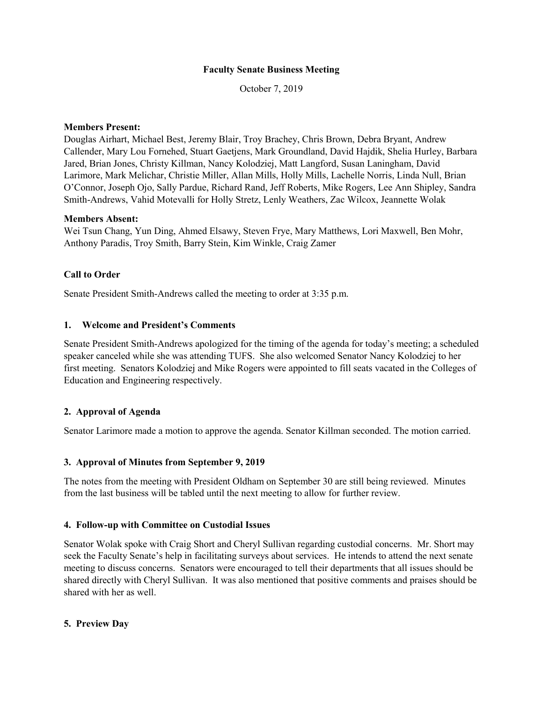### **Faculty Senate Business Meeting**

October 7, 2019

### **Members Present:**

Douglas Airhart, Michael Best, Jeremy Blair, Troy Brachey, Chris Brown, Debra Bryant, Andrew Callender, Mary Lou Fornehed, Stuart Gaetjens, Mark Groundland, David Hajdik, Shelia Hurley, Barbara Jared, Brian Jones, Christy Killman, Nancy Kolodziej, Matt Langford, Susan Laningham, David Larimore, Mark Melichar, Christie Miller, Allan Mills, Holly Mills, Lachelle Norris, Linda Null, Brian O'Connor, Joseph Ojo, Sally Pardue, Richard Rand, Jeff Roberts, Mike Rogers, Lee Ann Shipley, Sandra Smith-Andrews, Vahid Motevalli for Holly Stretz, Lenly Weathers, Zac Wilcox, Jeannette Wolak

## **Members Absent:**

Wei Tsun Chang, Yun Ding, Ahmed Elsawy, Steven Frye, Mary Matthews, Lori Maxwell, Ben Mohr, Anthony Paradis, Troy Smith, Barry Stein, Kim Winkle, Craig Zamer

# **Call to Order**

Senate President Smith-Andrews called the meeting to order at 3:35 p.m.

## **1. Welcome and President's Comments**

Senate President Smith-Andrews apologized for the timing of the agenda for today's meeting; a scheduled speaker canceled while she was attending TUFS. She also welcomed Senator Nancy Kolodziej to her first meeting. Senators Kolodziej and Mike Rogers were appointed to fill seats vacated in the Colleges of Education and Engineering respectively.

# **2. Approval of Agenda**

Senator Larimore made a motion to approve the agenda. Senator Killman seconded. The motion carried.

#### **3. Approval of Minutes from September 9, 2019**

The notes from the meeting with President Oldham on September 30 are still being reviewed. Minutes from the last business will be tabled until the next meeting to allow for further review.

#### **4. Follow-up with Committee on Custodial Issues**

Senator Wolak spoke with Craig Short and Cheryl Sullivan regarding custodial concerns. Mr. Short may seek the Faculty Senate's help in facilitating surveys about services. He intends to attend the next senate meeting to discuss concerns. Senators were encouraged to tell their departments that all issues should be shared directly with Cheryl Sullivan. It was also mentioned that positive comments and praises should be shared with her as well.

#### **5. Preview Day**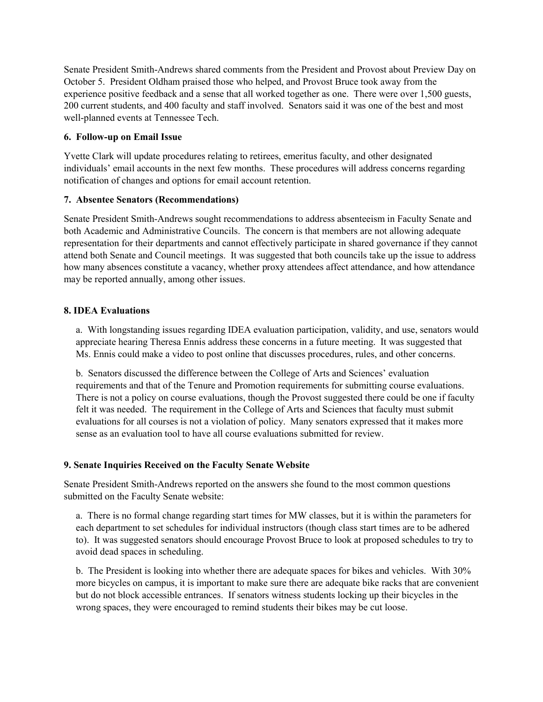Senate President Smith-Andrews shared comments from the President and Provost about Preview Day on October 5. President Oldham praised those who helped, and Provost Bruce took away from the experience positive feedback and a sense that all worked together as one. There were over 1,500 guests, 200 current students, and 400 faculty and staff involved. Senators said it was one of the best and most well-planned events at Tennessee Tech.

## **6. Follow-up on Email Issue**

Yvette Clark will update procedures relating to retirees, emeritus faculty, and other designated individuals' email accounts in the next few months. These procedures will address concerns regarding notification of changes and options for email account retention.

## **7. Absentee Senators (Recommendations)**

Senate President Smith-Andrews sought recommendations to address absenteeism in Faculty Senate and both Academic and Administrative Councils. The concern is that members are not allowing adequate representation for their departments and cannot effectively participate in shared governance if they cannot attend both Senate and Council meetings. It was suggested that both councils take up the issue to address how many absences constitute a vacancy, whether proxy attendees affect attendance, and how attendance may be reported annually, among other issues.

## **8. IDEA Evaluations**

a. With longstanding issues regarding IDEA evaluation participation, validity, and use, senators would appreciate hearing Theresa Ennis address these concerns in a future meeting. It was suggested that Ms. Ennis could make a video to post online that discusses procedures, rules, and other concerns.

b. Senators discussed the difference between the College of Arts and Sciences' evaluation requirements and that of the Tenure and Promotion requirements for submitting course evaluations. There is not a policy on course evaluations, though the Provost suggested there could be one if faculty felt it was needed. The requirement in the College of Arts and Sciences that faculty must submit evaluations for all courses is not a violation of policy. Many senators expressed that it makes more sense as an evaluation tool to have all course evaluations submitted for review.

# **9. Senate Inquiries Received on the Faculty Senate Website**

Senate President Smith-Andrews reported on the answers she found to the most common questions submitted on the Faculty Senate website:

a. There is no formal change regarding start times for MW classes, but it is within the parameters for each department to set schedules for individual instructors (though class start times are to be adhered to). It was suggested senators should encourage Provost Bruce to look at proposed schedules to try to avoid dead spaces in scheduling.

b. The President is looking into whether there are adequate spaces for bikes and vehicles. With 30% more bicycles on campus, it is important to make sure there are adequate bike racks that are convenient but do not block accessible entrances. If senators witness students locking up their bicycles in the wrong spaces, they were encouraged to remind students their bikes may be cut loose.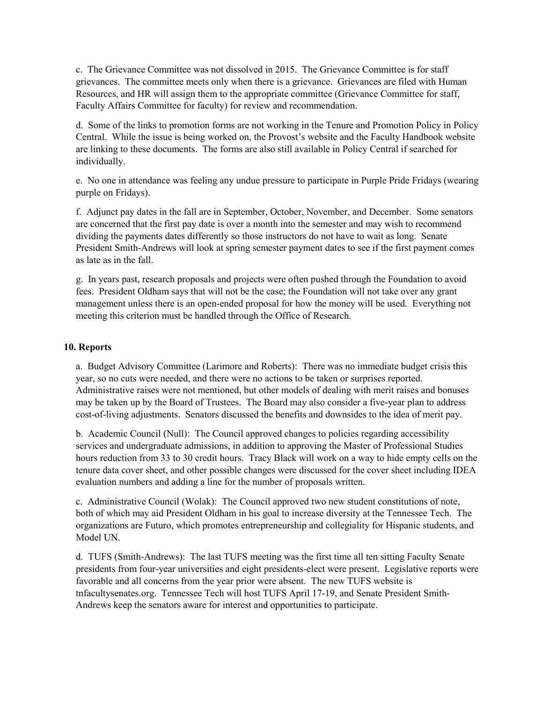c. The Grievance Committee was not dissolved in 2015. The Grievance Committee is for staff grievances. The committee meets only when there is a grievance. Grievances are filed with Human Resources, and HR will assign them to the appropriate committee (Grievance Committee for staff, Faculty Affairs Committee for faculty) for review and recommendation.

d. Some of the links to promotion forms are not working in the Tenure and Promotion Policy in Policy Central. While the issue is being worked on, the Provost's website and the Faculty Handbook website are linking to these documents. The forms are also still available in Policy Central if searched for individually.

e. No one in attendance was feeling any undue pressure to participate in Purple Pride Fridays (wearing purple on Fridays).

f. Adjunct pay dates in the fall are in September, October, November, and December. Some senators are concerned that the first pay date is over a month into the semester and may wish to recommend dividing the payments dates differently so those instructors do not have to wait as long. Senate President Smith-Andrews will look at spring semester payment dates to see if the first payment comes as late as in the fall.

g. In years past, research proposals and projects were often pushed through the Foundation to avoid fees. President Oldham says that will not be the case; the Foundation will not take over any grant management unless there is an open-ended proposal for how the money will be used. Everything not meeting this criterion must be handled through the Office of Research.

### **10. Reports**

a. Budget Advisory Committee (Larimore and Roberts): There was no immediate budget crisis this year, so no cuts were needed, and there were no actions to be taken or surprises reported. Administrative raises were not mentioned, but other models of dealing with merit raises and bonuses may be taken up by the Board of Trustees. The Board may also consider a five-year plan to address cost-of-living adjustments. Senators discussed the benefits and downsides to the idea of merit pay.

b. Academic Council (Null): The Council approved changes to policies regarding accessibility services and undergraduate admissions, in addition to approving the Master of Professional Studies hours reduction from 33 to 30 credit hours. Tracy Black will work on a way to hide empty cells on the tenure data cover sheet, and other possible changes were discussed for the cover sheet including IDEA evaluation numbers and adding a line for the number of proposals written.

c. Administrative Council (Wolak): The Council approved two new student constitutions of note, both of which may aid President Oldham in his goal to increase diversity at the Tennessee Tech. The organizations are Futuro, which promotes entrepreneurship and collegiality for Hispanic students, and Model UN.

d. TUFS (Smith-Andrews): The last TUFS meeting was the first time all ten sitting Faculty Senate presidents from four-year universities and eight presidents-elect were present. Legislative reports were favorable and all concerns from the year prior were absent. The new TUFS website is tnfacultysenates.org. Tennessee Tech will host TUFS April 17-19, and Senate President Smith-Andrews keep the senators aware for interest and opportunities to participate.